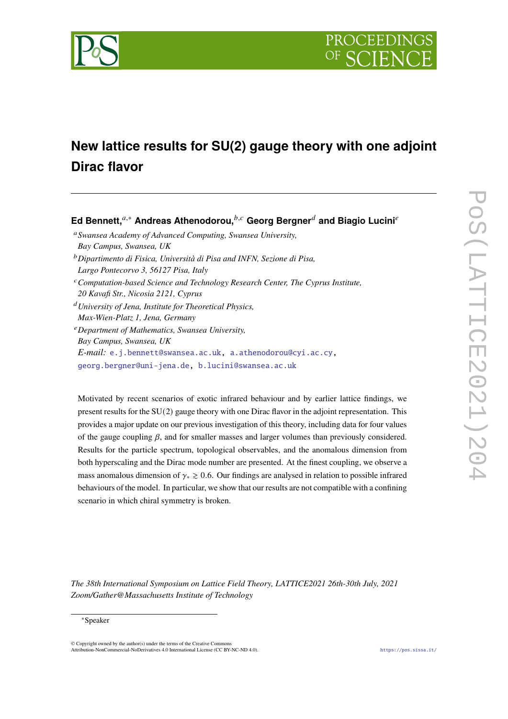

# **New lattice results for SU(2) gauge theory with one adjoint Dirac flavor**

**Ed Bennett,**<sup>a,∗</sup> Andreas Athenodorou,<sup>b,c</sup> Georg Bergner<sup>*d*</sup> and Biagio Lucini<sup>e</sup> *Swansea Academy of Advanced Computing, Swansea University, Bay Campus, Swansea, UK Dipartimento di Fisica, Università di Pisa and INFN, Sezione di Pisa, Largo Pontecorvo 3, 56127 Pisa, Italy Computation-based Science and Technology Research Center, The Cyprus Institute, 20 Kavafi Str., Nicosia 2121, Cyprus University of Jena, Institute for Theoretical Physics, Max-Wien-Platz 1, Jena, Germany Department of Mathematics, Swansea University, Bay Campus, Swansea, UK E-mail:* [e.j.bennett@swansea.ac.uk,](mailto:e.j.bennett@swansea.ac.uk) [a.athenodorou@cyi.ac.cy,](mailto:a.athenodorou@cyi.ac.cy) [georg.bergner@uni-jena.de,](mailto:georg.bergner@uni-jena.de) [b.lucini@swansea.ac.uk](mailto:b.lucini@swansea.ac.uk)

Motivated by recent scenarios of exotic infrared behaviour and by earlier lattice findings, we present results for the SU(2) gauge theory with one Dirac flavor in the adjoint representation. This provides a major update on our previous investigation of this theory, including data for four values of the gauge coupling  $\beta$ , and for smaller masses and larger volumes than previously considered. Results for the particle spectrum, topological observables, and the anomalous dimension from both hyperscaling and the Dirac mode number are presented. At the finest coupling, we observe a mass anomalous dimension of  $\gamma_* \geq 0.6$ . Our findings are analysed in relation to possible infrared behaviours of the model. In particular, we show that our results are not compatible with a confining scenario in which chiral symmetry is broken.

*The 38th International Symposium on Lattice Field Theory, LATTICE2021 26th-30th July, 2021 Zoom/Gather@Massachusetts Institute of Technology*

#### <sup>∗</sup>Speaker

© Copyright owned by the author(s) under the terms of the Creative Commons Attribution-NonCommercial-NoDerivatives 4.0 International License (CC BY-NC-ND 4.0). <https://pos.sissa.it/>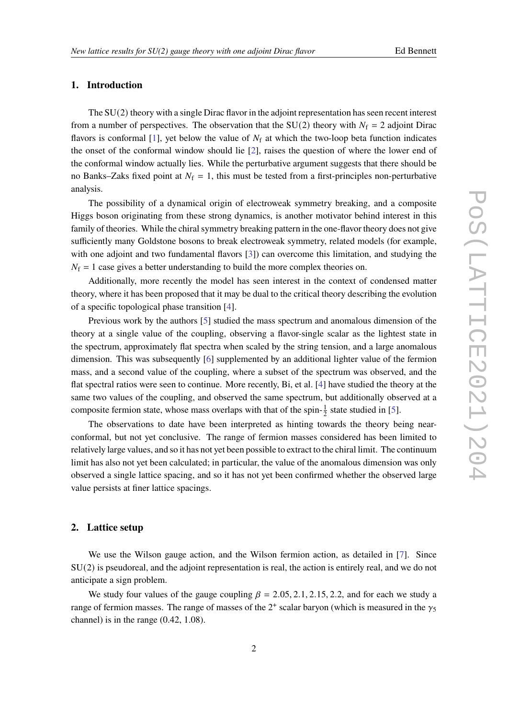## **1. Introduction**

The SU(2) theory with a single Dirac flavor in the adjoint representation has seen recent interest from a number of perspectives. The observation that the SU(2) theory with  $N_f = 2$  adjoint Dirac flavors is conformal [\[1\]](#page-7-0), yet below the value of  $N_f$  at which the two-loop beta function indicates the onset of the conformal window should lie [\[2\]](#page-7-1), raises the question of where the lower end of the conformal window actually lies. While the perturbative argument suggests that there should be no Banks–Zaks fixed point at  $N_f = 1$ , this must be tested from a first-principles non-perturbative analysis.

The possibility of a dynamical origin of electroweak symmetry breaking, and a composite Higgs boson originating from these strong dynamics, is another motivator behind interest in this family of theories. While the chiral symmetry breaking pattern in the one-flavor theory does not give sufficiently many Goldstone bosons to break electroweak symmetry, related models (for example, with one adjoint and two fundamental flavors [\[3\]](#page-7-2)) can overcome this limitation, and studying the  $N_f = 1$  case gives a better understanding to build the more complex theories on.

Additionally, more recently the model has seen interest in the context of condensed matter theory, where it has been proposed that it may be dual to the critical theory describing the evolution of a specific topological phase transition [\[4\]](#page-7-3).

Previous work by the authors [\[5\]](#page-7-4) studied the mass spectrum and anomalous dimension of the theory at a single value of the coupling, observing a flavor-single scalar as the lightest state in the spectrum, approximately flat spectra when scaled by the string tension, and a large anomalous dimension. This was subsequently [\[6\]](#page-7-5) supplemented by an additional lighter value of the fermion mass, and a second value of the coupling, where a subset of the spectrum was observed, and the flat spectral ratios were seen to continue. More recently, Bi, et al. [\[4\]](#page-7-3) have studied the theory at the same two values of the coupling, and observed the same spectrum, but additionally observed at a composite fermion state, whose mass overlaps with that of the spin- $\frac{1}{2}$  state studied in [\[5\]](#page-7-4).

The observations to date have been interpreted as hinting towards the theory being nearconformal, but not yet conclusive. The range of fermion masses considered has been limited to relatively large values, and so it has not yet been possible to extract to the chiral limit. The continuum limit has also not yet been calculated; in particular, the value of the anomalous dimension was only observed a single lattice spacing, and so it has not yet been confirmed whether the observed large value persists at finer lattice spacings.

# **2. Lattice setup**

We use the Wilson gauge action, and the Wilson fermion action, as detailed in [\[7\]](#page-7-6). Since SU(2) is pseudoreal, and the adjoint representation is real, the action is entirely real, and we do not anticipate a sign problem.

We study four values of the gauge coupling  $\beta = 2.05, 2.1, 2.15, 2.2$ , and for each we study a range of fermion masses. The range of masses of the  $2^+$  scalar baryon (which is measured in the  $\gamma_5$ channel) is in the range (0.42, 1.08).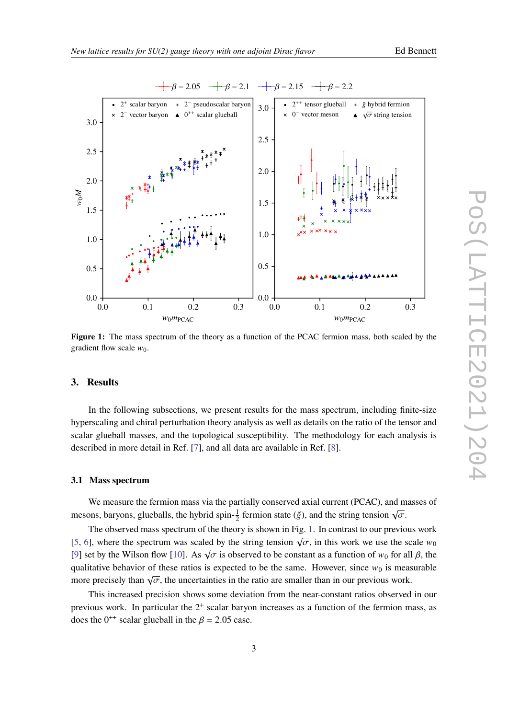<span id="page-2-0"></span>

**Figure 1:** The mass spectrum of the theory as a function of the PCAC fermion mass, both scaled by the gradient flow scale  $w_0$ .

## **3. Results**

In the following subsections, we present results for the mass spectrum, including finite-size hyperscaling and chiral perturbation theory analysis as well as details on the ratio of the tensor and scalar glueball masses, and the topological susceptibility. The methodology for each analysis is described in more detail in Ref. [\[7\]](#page-7-6), and all data are available in Ref. [\[8\]](#page-7-7).

#### **3.1 Mass spectrum**

We measure the fermion mass via the partially conserved axial current (PCAC), and masses of mesons, baryons, glueballs, the hybrid spin- $\frac{1}{2}$  fermion state ( $\check{g}$ ), and the string tension  $\sqrt{\sigma}$ .

The observed mass spectrum of the theory is shown in Fig. [1.](#page-2-0) In contrast to our previous work [\[5,](#page-7-4) [6\]](#page-7-5), where the spectrum was scaled by the string tension  $\sqrt{\sigma}$ , in this work we use the scale  $w_0$ [\[9\]](#page-7-8) set by the Wilson flow [\[10\]](#page-7-9). As  $\sqrt{\sigma}$  is observed to be constant as a function of  $w_0$  for all  $\beta$ , the qualitative behavior of these ratios is expected to be the same. However, since  $w_0$  is measurable more precisely than  $\sqrt{\sigma}$ , the uncertainties in the ratio are smaller than in our previous work.

This increased precision shows some deviation from the near-constant ratios observed in our previous work. In particular the  $2^+$  scalar baryon increases as a function of the fermion mass, as does the 0<sup>++</sup> scalar glueball in the  $\beta$  = 2.05 case.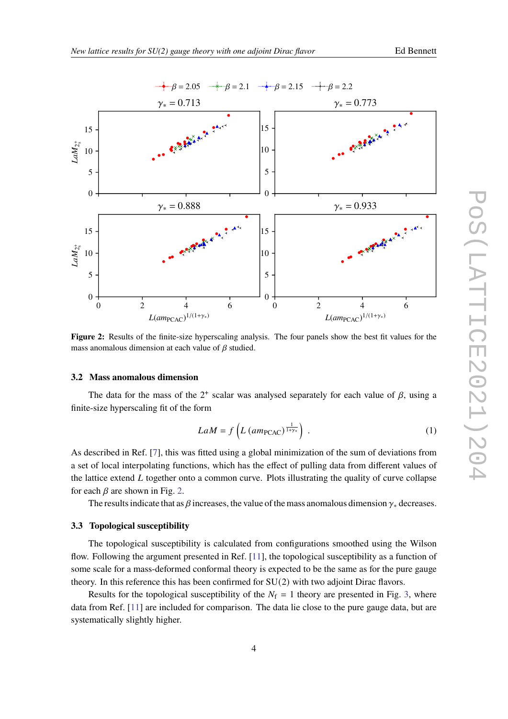<span id="page-3-0"></span>

**Figure 2:** Results of the finite-size hyperscaling analysis. The four panels show the best fit values for the mass anomalous dimension at each value of  $\beta$  studied.

#### **3.2 Mass anomalous dimension**

The data for the mass of the  $2^+$  scalar was analysed separately for each value of  $\beta$ , using a finite-size hyperscaling fit of the form

$$
LaM = f\left(L\left(am_{\text{PCAC}}\right)^{\frac{1}{1+\gamma_*}}\right) \tag{1}
$$

As described in Ref. [\[7\]](#page-7-6), this was fitted using a global minimization of the sum of deviations from a set of local interpolating functions, which has the effect of pulling data from different values of the lattice extend  $L$  together onto a common curve. Plots illustrating the quality of curve collapse for each  $\beta$  are shown in Fig. [2.](#page-3-0)

The results indicate that as  $\beta$  increases, the value of the mass anomalous dimension  $\gamma_*$  decreases.

#### **3.3 Topological susceptibility**

The topological susceptibility is calculated from configurations smoothed using the Wilson flow. Following the argument presented in Ref. [\[11\]](#page-7-10), the topological susceptibility as a function of some scale for a mass-deformed conformal theory is expected to be the same as for the pure gauge theory. In this reference this has been confirmed for  $SU(2)$  with two adjoint Dirac flavors.

Results for the topological susceptibility of the  $N_f = 1$  theory are presented in Fig. [3,](#page-4-0) where data from Ref. [\[11\]](#page-7-10) are included for comparison. The data lie close to the pure gauge data, but are systematically slightly higher.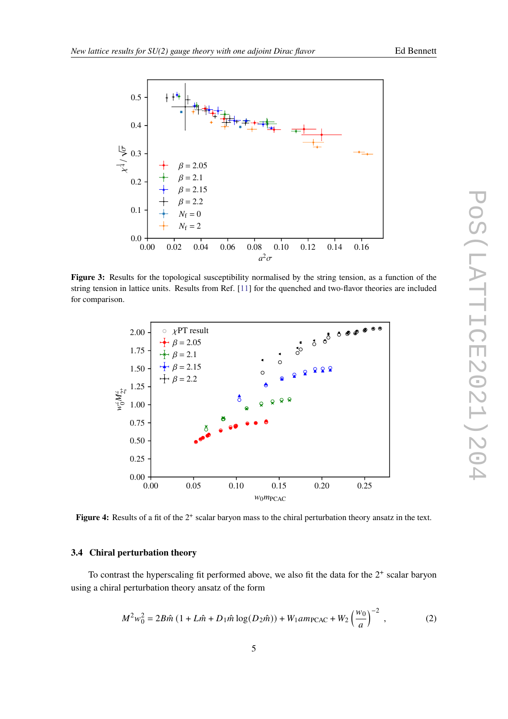<span id="page-4-0"></span>

**Figure 3:** Results for the topological susceptibility normalised by the string tension, as a function of the string tension in lattice units. Results from Ref. [\[11\]](#page-7-10) for the quenched and two-flavor theories are included for comparison.

<span id="page-4-1"></span>

Figure 4: Results of a fit of the 2<sup>+</sup> scalar baryon mass to the chiral perturbation theory ansatz in the text.

# **3.4 Chiral perturbation theory**

To contrast the hyperscaling fit performed above, we also fit the data for the  $2<sup>+</sup>$  scalar baryon using a chiral perturbation theory ansatz of the form

$$
M^2 w_0^2 = 2B\hat{m} \left( 1 + L\hat{m} + D_1 \hat{m} \log(D_2 \hat{m}) \right) + W_1 a m_{\text{PCAC}} + W_2 \left( \frac{w_0}{a} \right)^{-2}, \tag{2}
$$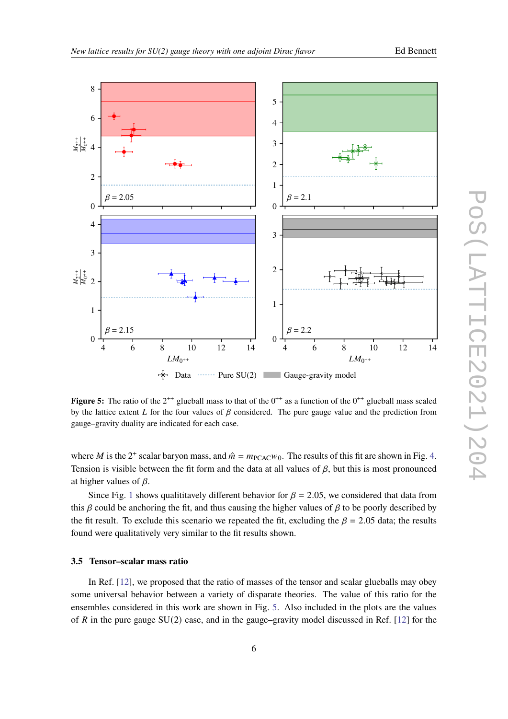<span id="page-5-0"></span>

Figure 5: The ratio of the  $2^{++}$  glueball mass to that of the  $0^{++}$  as a function of the  $0^{++}$  glueball mass scaled by the lattice extent  $L$  for the four values of  $\beta$  considered. The pure gauge value and the prediction from gauge–gravity duality are indicated for each case.

where M is the 2<sup>+</sup> scalar baryon mass, and  $\hat{m} = m_{\text{PCAC}}w_0$ . The results of this fit are shown in Fig. [4.](#page-4-1) Tension is visible between the fit form and the data at all values of  $\beta$ , but this is most pronounced at higher values of  $\beta$ .

Since Fig. [1](#page-2-0) shows qualititavely different behavior for  $\beta = 2.05$ , we considered that data from this  $\beta$  could be anchoring the fit, and thus causing the higher values of  $\beta$  to be poorly described by the fit result. To exclude this scenario we repeated the fit, excluding the  $\beta = 2.05$  data; the results found were qualitatively very similar to the fit results shown.

#### **3.5 Tensor–scalar mass ratio**

In Ref. [\[12\]](#page-7-11), we proposed that the ratio of masses of the tensor and scalar glueballs may obey some universal behavior between a variety of disparate theories. The value of this ratio for the ensembles considered in this work are shown in Fig. [5.](#page-5-0) Also included in the plots are the values of R in the pure gauge  $SU(2)$  case, and in the gauge–gravity model discussed in Ref. [\[12\]](#page-7-11) for the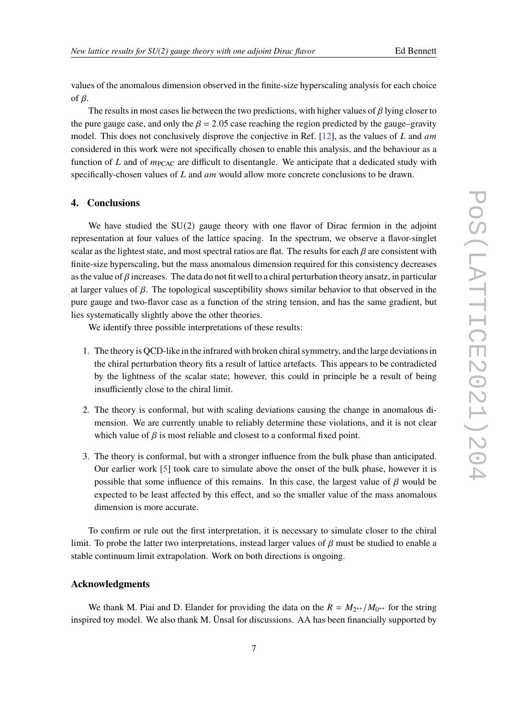values of the anomalous dimension observed in the finite-size hyperscaling analysis for each choice of  $\beta$ .

The results in most cases lie between the two predictions, with higher values of  $\beta$  lying closer to the pure gauge case, and only the  $\beta = 2.05$  case reaching the region predicted by the gauge–gravity model. This does not conclusively disprove the conjective in Ref.  $[12]$ , as the values of L and am considered in this work were not specifically chosen to enable this analysis, and the behaviour as a function of  $L$  and of  $m<sub>PCAC</sub>$  are difficult to disentangle. We anticipate that a dedicated study with specifically-chosen values of  $L$  and  $am$  would allow more concrete conclusions to be drawn.

## **4. Conclusions**

We have studied the  $SU(2)$  gauge theory with one flavor of Dirac fermion in the adjoint representation at four values of the lattice spacing. In the spectrum, we observe a flavor-singlet scalar as the lightest state, and most spectral ratios are flat. The results for each  $\beta$  are consistent with finite-size hyperscaling, but the mass anomalous dimension required for this consistency decreases as the value of  $\beta$  increases. The data do not fit well to a chiral perturbation theory ansatz, in particular at larger values of  $\beta$ . The topological susceptibility shows similar behavior to that observed in the pure gauge and two-flavor case as a function of the string tension, and has the same gradient, but lies systematically slightly above the other theories.

We identify three possible interpretations of these results:

- 1. The theory is QCD-like in the infrared with broken chiral symmetry, and the large deviations in the chiral perturbation theory fits a result of lattice artefacts. This appears to be contradicted by the lightness of the scalar state; however, this could in principle be a result of being insufficiently close to the chiral limit.
- 2. The theory is conformal, but with scaling deviations causing the change in anomalous dimension. We are currently unable to reliably determine these violations, and it is not clear which value of  $\beta$  is most reliable and closest to a conformal fixed point.
- 3. The theory is conformal, but with a stronger influence from the bulk phase than anticipated. Our earlier work [\[5\]](#page-7-4) took care to simulate above the onset of the bulk phase, however it is possible that some influence of this remains. In this case, the largest value of  $\beta$  would be expected to be least affected by this effect, and so the smaller value of the mass anomalous dimension is more accurate.

To confirm or rule out the first interpretation, it is necessary to simulate closer to the chiral limit. To probe the latter two interpretations, instead larger values of  $\beta$  must be studied to enable a stable continuum limit extrapolation. Work on both directions is ongoing.

#### **Acknowledgments**

We thank M. Piai and D. Elander for providing the data on the  $R = M_{2^{++}}/M_{0^{++}}$  for the string inspired toy model. We also thank M. Ünsal for discussions. AA has been financially supported by